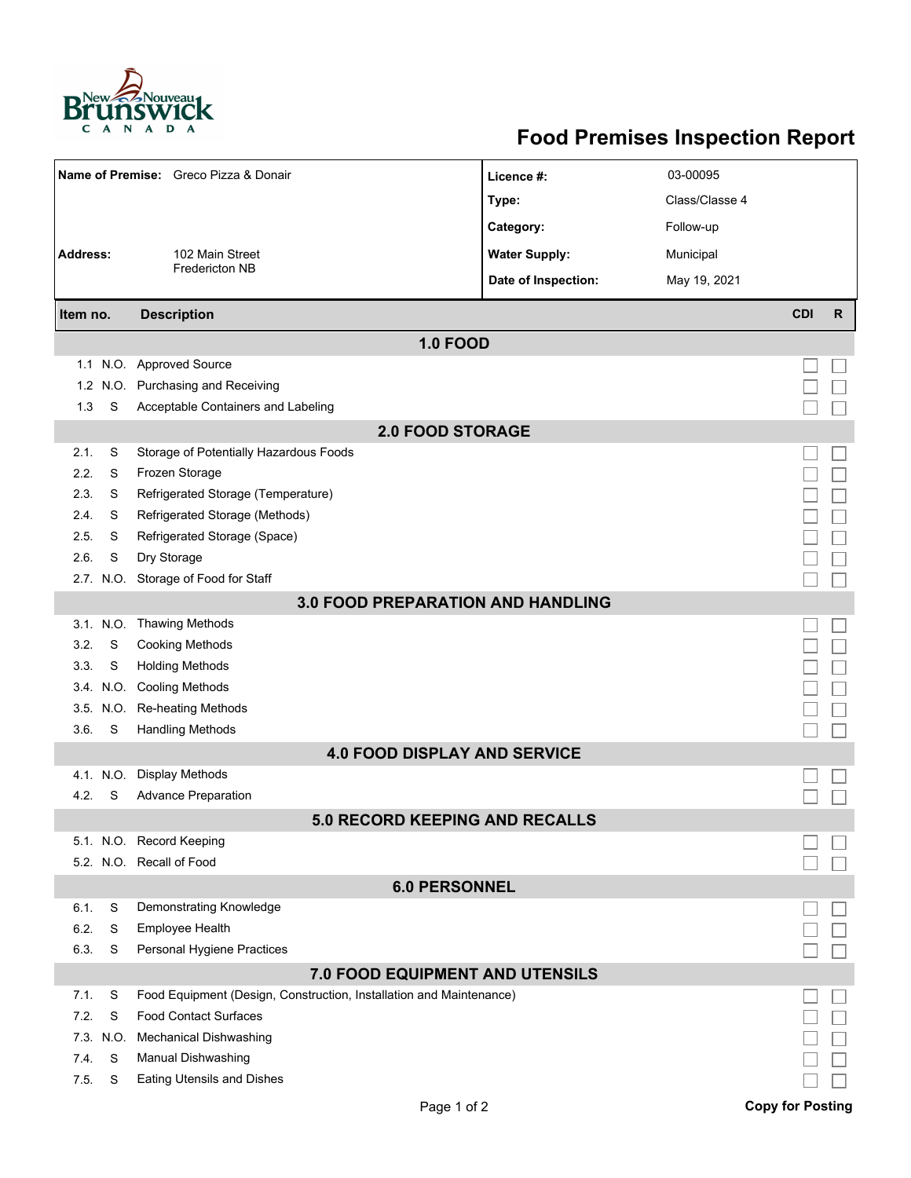

## **Food Premises Inspection Report**

|                                          |           | Name of Premise: Greco Pizza & Donair                               | Licence #:           | 03-00095       |                         |              |  |  |  |
|------------------------------------------|-----------|---------------------------------------------------------------------|----------------------|----------------|-------------------------|--------------|--|--|--|
|                                          |           |                                                                     | Type:                | Class/Classe 4 |                         |              |  |  |  |
|                                          |           |                                                                     | Category:            | Follow-up      |                         |              |  |  |  |
| <b>Address:</b>                          |           | 102 Main Street                                                     | <b>Water Supply:</b> | Municipal      |                         |              |  |  |  |
|                                          |           | <b>Fredericton NB</b>                                               | Date of Inspection:  | May 19, 2021   |                         |              |  |  |  |
|                                          |           |                                                                     |                      |                | <b>CDI</b>              | $\mathsf{R}$ |  |  |  |
| Item no.                                 |           | <b>Description</b>                                                  |                      |                |                         |              |  |  |  |
|                                          |           | <b>1.0 FOOD</b>                                                     |                      |                |                         |              |  |  |  |
|                                          |           | 1.1 N.O. Approved Source                                            |                      |                |                         |              |  |  |  |
|                                          |           | 1.2 N.O. Purchasing and Receiving                                   |                      |                |                         |              |  |  |  |
| 1.3                                      | S         | Acceptable Containers and Labeling                                  |                      |                |                         |              |  |  |  |
| <b>2.0 FOOD STORAGE</b>                  |           |                                                                     |                      |                |                         |              |  |  |  |
| 2.1.                                     | S         | Storage of Potentially Hazardous Foods                              |                      |                |                         |              |  |  |  |
| 2.2.                                     | S         | Frozen Storage                                                      |                      |                |                         |              |  |  |  |
| 2.3.                                     | S         | Refrigerated Storage (Temperature)                                  |                      |                |                         |              |  |  |  |
| 2.4.                                     | S         | Refrigerated Storage (Methods)                                      |                      |                |                         |              |  |  |  |
| 2.5.                                     | S         | Refrigerated Storage (Space)                                        |                      |                |                         |              |  |  |  |
| 2.6.                                     | S         | Dry Storage                                                         |                      |                |                         |              |  |  |  |
|                                          |           | 2.7. N.O. Storage of Food for Staff                                 |                      |                |                         |              |  |  |  |
| <b>3.0 FOOD PREPARATION AND HANDLING</b> |           |                                                                     |                      |                |                         |              |  |  |  |
|                                          | 3.1. N.O. | <b>Thawing Methods</b>                                              |                      |                |                         |              |  |  |  |
| 3.2.                                     | S         | <b>Cooking Methods</b>                                              |                      |                |                         |              |  |  |  |
| 3.3.                                     | S         | <b>Holding Methods</b>                                              |                      |                |                         |              |  |  |  |
|                                          | 3.4. N.O. | <b>Cooling Methods</b>                                              |                      |                |                         |              |  |  |  |
|                                          | 3.5. N.O. | Re-heating Methods                                                  |                      |                |                         |              |  |  |  |
| 3.6.                                     | S         | <b>Handling Methods</b>                                             |                      |                |                         |              |  |  |  |
| <b>4.0 FOOD DISPLAY AND SERVICE</b>      |           |                                                                     |                      |                |                         |              |  |  |  |
|                                          | 4.1. N.O. | Display Methods                                                     |                      |                |                         |              |  |  |  |
| 4.2.                                     | S         | Advance Preparation                                                 |                      |                |                         |              |  |  |  |
| 5.0 RECORD KEEPING AND RECALLS           |           |                                                                     |                      |                |                         |              |  |  |  |
|                                          |           | 5.1. N.O. Record Keeping                                            |                      |                |                         |              |  |  |  |
|                                          |           | 5.2. N.O. Recall of Food                                            |                      |                |                         |              |  |  |  |
| <b>6.0 PERSONNEL</b>                     |           |                                                                     |                      |                |                         |              |  |  |  |
| 6.1.                                     | S         | Demonstrating Knowledge                                             |                      |                |                         |              |  |  |  |
| 6.2.                                     | S         | Employee Health                                                     |                      |                |                         |              |  |  |  |
| 6.3.                                     | S         | Personal Hygiene Practices                                          |                      |                |                         |              |  |  |  |
| 7.0 FOOD EQUIPMENT AND UTENSILS          |           |                                                                     |                      |                |                         |              |  |  |  |
| 7.1.                                     | S         | Food Equipment (Design, Construction, Installation and Maintenance) |                      |                |                         |              |  |  |  |
| 7.2.                                     | S         | <b>Food Contact Surfaces</b>                                        |                      |                |                         |              |  |  |  |
| 7.3.                                     | N.O.      | <b>Mechanical Dishwashing</b>                                       |                      |                |                         |              |  |  |  |
| 7.4.                                     | S         | <b>Manual Dishwashing</b>                                           |                      |                |                         |              |  |  |  |
| 7.5.                                     | S         | <b>Eating Utensils and Dishes</b>                                   |                      |                |                         |              |  |  |  |
|                                          |           | Page 1 of 2                                                         |                      |                | <b>Copy for Posting</b> |              |  |  |  |